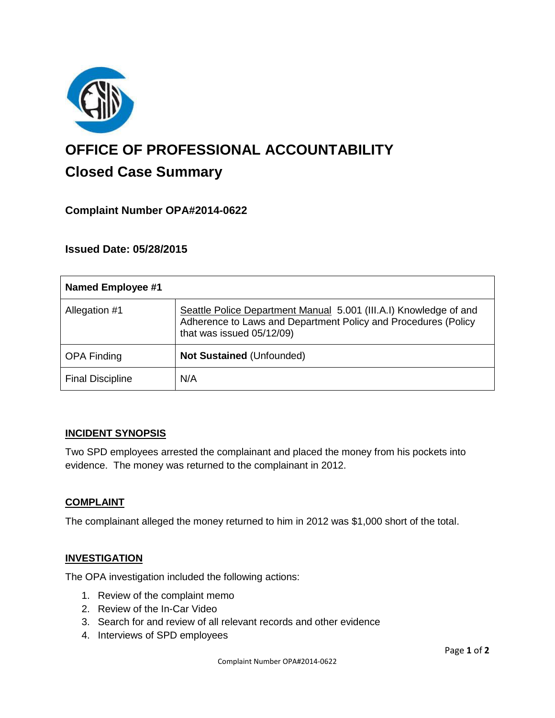

# **OFFICE OF PROFESSIONAL ACCOUNTABILITY Closed Case Summary**

## **Complaint Number OPA#2014-0622**

## **Issued Date: 05/28/2015**

| Named Employee #1       |                                                                                                                                                                  |
|-------------------------|------------------------------------------------------------------------------------------------------------------------------------------------------------------|
| Allegation #1           | Seattle Police Department Manual 5.001 (III.A.I) Knowledge of and<br>Adherence to Laws and Department Policy and Procedures (Policy<br>that was issued 05/12/09) |
| <b>OPA Finding</b>      | <b>Not Sustained (Unfounded)</b>                                                                                                                                 |
| <b>Final Discipline</b> | N/A                                                                                                                                                              |

#### **INCIDENT SYNOPSIS**

Two SPD employees arrested the complainant and placed the money from his pockets into evidence. The money was returned to the complainant in 2012.

#### **COMPLAINT**

The complainant alleged the money returned to him in 2012 was \$1,000 short of the total.

#### **INVESTIGATION**

The OPA investigation included the following actions:

- 1. Review of the complaint memo
- 2. Review of the In-Car Video
- 3. Search for and review of all relevant records and other evidence
- 4. Interviews of SPD employees